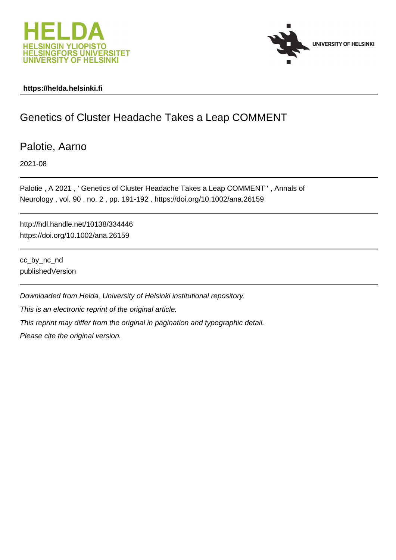



### **https://helda.helsinki.fi**

## Genetics of Cluster Headache Takes a Leap COMMENT

Palotie, Aarno

2021-08

Palotie , A 2021 , ' Genetics of Cluster Headache Takes a Leap COMMENT ' , Annals of Neurology , vol. 90 , no. 2 , pp. 191-192 . https://doi.org/10.1002/ana.26159

http://hdl.handle.net/10138/334446 https://doi.org/10.1002/ana.26159

cc\_by\_nc\_nd publishedVersion

Downloaded from Helda, University of Helsinki institutional repository. This is an electronic reprint of the original article. This reprint may differ from the original in pagination and typographic detail. Please cite the original version.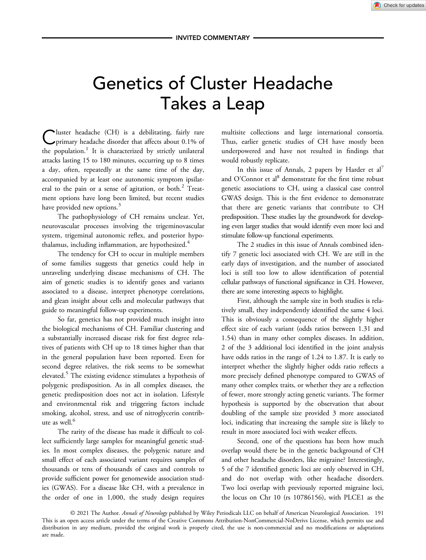# Genetics of Cluster Headache Takes a Leap

Cluster headache (CH) is a debilitating, fairly rare primary headache disorder that affects about 0.1% of the population.<sup>1</sup> It is characterized by strictly unilateral attacks lasting 15 to 180 minutes, occurring up to 8 times a day, often, repeatedly at the same time of the day, accompanied by at least one autonomic symptom ipsilateral to the pain or a sense of agitation, or both.<sup>2</sup> Treatment options have long been limited, but recent studies have provided new options.<sup>3</sup>

The pathophysiology of CH remains unclear. Yet, neurovascular processes involving the trigeminovascular system, trigeminal autonomic reflex, and posterior hypothalamus, including inflammation, are hypothesized.<sup>4</sup>

The tendency for CH to occur in multiple members of some families suggests that genetics could help in unraveling underlying disease mechanisms of CH. The aim of genetic studies is to identify genes and variants associated to a disease, interpret phenotype correlations, and glean insight about cells and molecular pathways that guide to meaningful follow-up experiments.

So far, genetics has not provided much insight into the biological mechanisms of CH. Familiar clustering and a substantially increased disease risk for first degree relatives of patients with CH up to 18 times higher than that in the general population have been reported. Even for second degree relatives, the risk seems to be somewhat elevated.<sup>5</sup> The existing evidence stimulates a hypothesis of polygenic predisposition. As in all complex diseases, the genetic predisposition does not act in isolation. Lifestyle and environmental risk and triggering factors include smoking, alcohol, stress, and use of nitroglycerin contribute as well.<sup>6</sup>

The rarity of the disease has made it difficult to collect sufficiently large samples for meaningful genetic studies. In most complex diseases, the polygenic nature and small effect of each associated variant requires samples of thousands or tens of thousands of cases and controls to provide sufficient power for genomewide association studies (GWAS). For a disease like CH, with a prevalence in the order of one in 1,000, the study design requires

multisite collections and large international consortia. Thus, earlier genetic studies of CH have mostly been underpowered and have not resulted in findings that would robustly replicate.

In this issue of Annals, 2 papers by Harder et  $al^7$ and O'Connor et al $^{8}$  demonstrate for the first time robust genetic associations to CH, using a classical case control GWAS design. This is the first evidence to demonstrate that there are genetic variants that contribute to CH predisposition. These studies lay the groundwork for developing even larger studies that would identify even more loci and stimulate follow-up functional experiments.

The 2 studies in this issue of Annals combined identify 7 genetic loci associated with CH. We are still in the early days of investigation, and the number of associated loci is still too low to allow identification of potential cellular pathways of functional significance in CH. However, there are some interesting aspects to highlight.

First, although the sample size in both studies is relatively small, they independently identified the same 4 loci. This is obviously a consequence of the slightly higher effect size of each variant (odds ratios between 1.31 and 1.54) than in many other complex diseases. In addition, 2 of the 3 additional loci identified in the joint analysis have odds ratios in the range of 1.24 to 1.87. It is early to interpret whether the slightly higher odds ratio reflects a more precisely defined phenotype compared to GWAS of many other complex traits, or whether they are a reflection of fewer, more strongly acting genetic variants. The former hypothesis is supported by the observation that about doubling of the sample size provided 3 more associated loci, indicating that increasing the sample size is likely to result in more associated loci with weaker effects.

Second, one of the questions has been how much overlap would there be in the genetic background of CH and other headache disorders, like migraine? Interestingly, 5 of the 7 identified genetic loci are only observed in CH, and do not overlap with other headache disorders. Two loci overlap with previously reported migraine loci, the locus on Chr 10 (rs 10786156), with PLCE1 as the

© 2021 The Author. Annals of Neurology published by Wiley Periodicals LLC on behalf of American Neurological Association. 191 This is an open access article under the terms of the [Creative Commons Attribution-NonCommercial-NoDerivs](http://creativecommons.org/licenses/by-nc-nd/4.0/) License, which permits use and distribution in any medium, provided the original work is properly cited, the use is non-commercial and no modifications or adaptations are made.